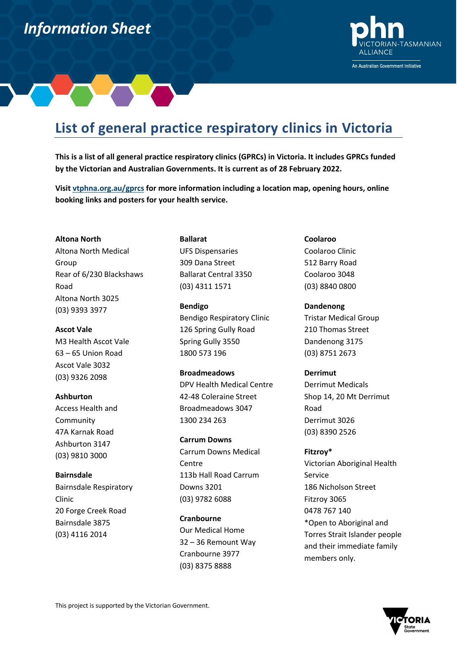# *Information Sheet Information Sheet*



## **List of general practice respiratory clinics in Victoria**

**This is a list of all general practice respiratory clinics (GPRCs) in Victoria. It includes GPRCs funded by the Victorian and Australian Governments. It is current as of 28 February 2022.** 

**Visit vtphna.org.au/gprcs for more information including a location map, opening hours, online booking links and posters for your health service.**

#### **Altona North**

Altona North Medical Group Rear of 6/230 Blackshaws Road Altona North 3025 (03) 9393 3977

## **Ascot Vale**

M3 Health Ascot Vale 63 – 65 Union Road Ascot Vale 3032 (03) 9326 2098

## **Ashburton**

Access Health and Community 47A Karnak Road Ashburton 3147 (03) 9810 3000

### **Bairnsdale**

Bairnsdale Respiratory Clinic 20 Forge Creek Road Bairnsdale 3875 (03) 4116 2014

**Ballarat** UFS Dispensaries 309 Dana Street Ballarat Central 3350 (03) 4311 1571

**Bendigo** Bendigo Respiratory Clinic 126 Spring Gully Road Spring Gully 3550 1800 573 196

## **Broadmeadows**

DPV Health Medical Centre 42-48 Coleraine Street Broadmeadows 3047 1300 234 263

## **Carrum Downs**

Carrum Downs Medical Centre 113b Hall Road Carrum Downs 3201 (03) 9782 6088

## **Cranbourne**

Our Medical Home 32 – 36 Remount Way Cranbourne 3977 (03) 8375 8888

## **Coolaroo**

Coolaroo Clinic 512 Barry Road Coolaroo 3048 (03) 8840 0800

## **Dandenong**

Tristar Medical Group 210 Thomas Street Dandenong 3175 (03) 8751 2673

## **Derrimut**

Derrimut Medicals Shop 14, 20 Mt Derrimut Road Derrimut 3026 (03) 8390 2526

## **Fitzroy\***

Victorian Aboriginal Health Service 186 Nicholson Street Fitzroy 3065 0478 767 140 \*Open to Aboriginal and Torres Strait Islander people and their immediate family members only.

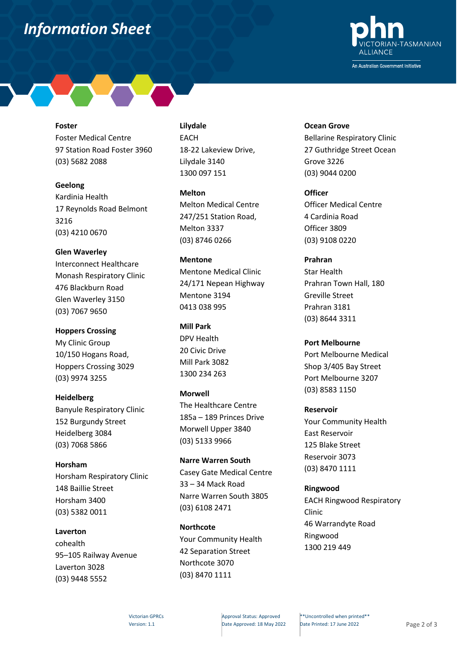## *Information Sheet*



**Foster**

Foster Medical Centre 97 Station Road Foster 3960 (03) 5682 2088

## **Geelong**

Kardinia Health 17 Reynolds Road Belmont 3216 (03) 4210 0670

**Glen Waverley** Interconnect Healthcare Monash Respiratory Clinic 476 Blackburn Road Glen Waverley 3150 (03) 7067 9650

**Hoppers Crossing** My Clinic Group 10/150 Hogans Road, Hoppers Crossing 3029

(03) 9974 3255

**Heidelberg** Banyule Respiratory Clinic 152 Burgundy Street Heidelberg 3084 (03) 7068 5866

**Horsham** Horsham Respiratory Clinic 148 Baillie Street Horsham 3400 (03) 5382 0011

**Laverton** cohealth 95–105 Railway Avenue Laverton 3028 (03) 9448 5552

## **Lilydale**

EACH 18-22 Lakeview Drive, Lilydale 3140 1300 097 151

**Melton** Melton Medical Centre 247/251 Station Road, Melton 3337 (03) 8746 0266

**Mentone** Mentone Medical Clinic 24/171 Nepean Highway Mentone 3194 0413 038 995

**Mill Park** DPV Health 20 Civic Drive Mill Park 3082 1300 234 263

**Morwell** The Healthcare Centre 185a – 189 Princes Drive Morwell Upper 3840 (03) 5133 9966

**Narre Warren South** Casey Gate Medical Centre 33 – 34 Mack Road Narre Warren South 3805 (03) 6108 2471

**Northcote** Your Community Health 42 Separation Street Northcote 3070 (03) 8470 1111

**Ocean Grove** Bellarine Respiratory Clinic 27 Guthridge Street Ocean Grove 3226 (03) 9044 0200

**Officer** Officer Medical Centre 4 Cardinia Road Officer 3809 (03) 9108 0220

**Prahran** Star Health Prahran Town Hall, 180 Greville Street Prahran 3181 (03) 8644 3311

**Port Melbourne** Port Melbourne Medical Shop 3/405 Bay Street Port Melbourne 3207 (03) 8583 1150

**Reservoir** Your Community Health East Reservoir 125 Blake Street Reservoir 3073 (03) 8470 1111

## **Ringwood**

EACH Ringwood Respiratory Clinic 46 Warrandyte Road Ringwood 1300 219 449